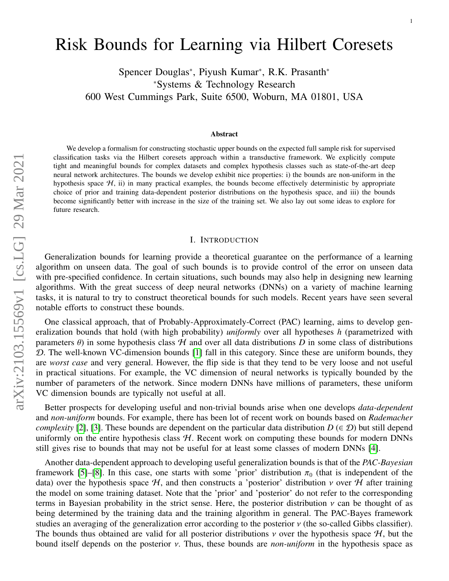# Risk Bounds for Learning via Hilbert Coresets

Spencer Douglas<sup>∗</sup> , Piyush Kumar<sup>∗</sup> , R.K. Prasanth<sup>∗</sup> <sup>∗</sup>Systems & Technology Research 600 West Cummings Park, Suite 6500, Woburn, MA 01801, USA

## Abstract

We develop a formalism for constructing stochastic upper bounds on the expected full sample risk for supervised classification tasks via the Hilbert coresets approach within a transductive framework. We explicitly compute tight and meaningful bounds for complex datasets and complex hypothesis classes such as state-of-the-art deep neural network architectures. The bounds we develop exhibit nice properties: i) the bounds are non-uniform in the hypothesis space  $H$ , ii) in many practical examples, the bounds become effectively deterministic by appropriate choice of prior and training data-dependent posterior distributions on the hypothesis space, and iii) the bounds become significantly better with increase in the size of the training set. We also lay out some ideas to explore for future research.

#### I. INTRODUCTION

<span id="page-0-0"></span>Generalization bounds for learning provide a theoretical guarantee on the performance of a learning algorithm on unseen data. The goal of such bounds is to provide control of the error on unseen data with pre-specified confidence. In certain situations, such bounds may also help in designing new learning algorithms. With the great success of deep neural networks (DNNs) on a variety of machine learning tasks, it is natural to try to construct theoretical bounds for such models. Recent years have seen several notable efforts to construct these bounds.

One classical approach, that of Probably-Approximately-Correct (PAC) learning, aims to develop generalization bounds that hold (with high probability) *uniformly* over all hypotheses *h* (parametrized with parameters  $\theta$ ) in some hypothesis class H and over all data distributions D in some class of distributions  $\mathcal{D}$ . The well-known VC-dimension bounds [\[1\]](#page-14-0) fall in this category. Since these are uniform bounds, they are *worst case* and very general. However, the flip side is that they tend to be very loose and not useful in practical situations. For example, the VC dimension of neural networks is typically bounded by the number of parameters of the network. Since modern DNNs have millions of parameters, these uniform VC dimension bounds are typically not useful at all.

Better prospects for developing useful and non-trivial bounds arise when one develops *data-dependent* and *non-uniform* bounds. For example, there has been lot of recent work on bounds based on *Rademacher complexity* [\[2\]](#page-14-1), [\[3\]](#page-14-2). These bounds are dependent on the particular data distribution  $D \in \mathcal{D}$ ) but still depend uniformly on the entire hypothesis class  $H$ . Recent work on computing these bounds for modern DNNs still gives rise to bounds that may not be useful for at least some classes of modern DNNs [\[4\]](#page-14-3).

Another data-dependent approach to developing useful generalization bounds is that of the *PAC-Bayesian* framework [\[5\]](#page-14-4)–[\[8\]](#page-14-5). In this case, one starts with some 'prior' distribution  $\pi_0$  (that is independent of the data) over the hypothesis space  $H$ , and then constructs a 'posterior' distribution  $\nu$  over  $H$  after training the model on some training dataset. Note that the 'prior' and 'posterior' do not refer to the corresponding terms in Bayesian probability in the strict sense. Here, the posterior distribution  $\nu$  can be thought of as being determined by the training data and the training algorithm in general. The PAC-Bayes framework studies an averaging of the generalization error according to the posterior ν (the so-called Gibbs classifier). The bounds thus obtained are valid for all posterior distributions  $\nu$  over the hypothesis space  $H$ , but the bound itself depends on the posterior ν. Thus, these bounds are *non-uniform* in the hypothesis space as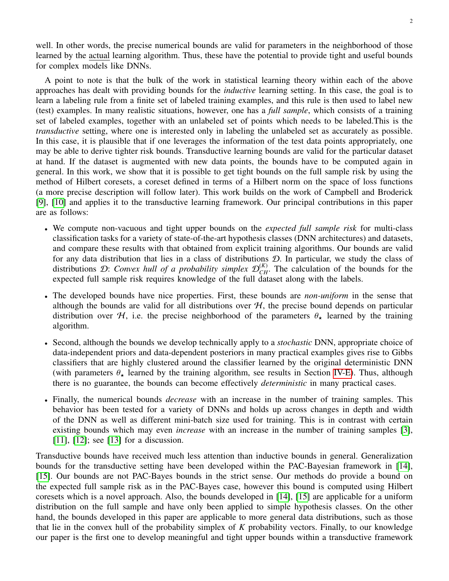well. In other words, the precise numerical bounds are valid for parameters in the neighborhood of those learned by the actual learning algorithm. Thus, these have the potential to provide tight and useful bounds for complex models like DNNs.

A point to note is that the bulk of the work in statistical learning theory within each of the above approaches has dealt with providing bounds for the *inductive* learning setting. In this case, the goal is to learn a labeling rule from a finite set of labeled training examples, and this rule is then used to label new (test) examples. In many realistic situations, however, one has a *full sample*, which consists of a training set of labeled examples, together with an unlabeled set of points which needs to be labeled.This is the *transductive* setting, where one is interested only in labeling the unlabeled set as accurately as possible. In this case, it is plausible that if one leverages the information of the test data points appropriately, one may be able to derive tighter risk bounds. Transductive learning bounds are valid for the particular dataset at hand. If the dataset is augmented with new data points, the bounds have to be computed again in general. In this work, we show that it is possible to get tight bounds on the full sample risk by using the method of Hilbert coresets, a coreset defined in terms of a Hilbert norm on the space of loss functions (a more precise description will follow later). This work builds on the work of Campbell and Broderick [\[9\]](#page-14-6), [\[10\]](#page-14-7) and applies it to the transductive learning framework. Our principal contributions in this paper are as follows:

- We compute non-vacuous and tight upper bounds on the *expected full sample risk* for multi-class classification tasks for a variety of state-of-the-art hypothesis classes (DNN architectures) and datasets, and compare these results with that obtained from explicit training algorithms. Our bounds are valid for any data distribution that lies in a class of distributions  $D$ . In particular, we study the class of distributions *D*: *Convex hull of a probability simplex*  $\mathcal{D}_{CH}^{(K)}$ . The calculation of the bounds for the expected full sample risk requires knowledge of the full dataset along with the labels.
- The developed bounds have nice properties. First, these bounds are *non-uniform* in the sense that although the bounds are valid for all distributions over  $H$ , the precise bound depends on particular distribution over H, i.e. the precise neighborhood of the parameters  $\theta_{\star}$  learned by the training algorithm.
- Second, although the bounds we develop technically apply to a *stochastic* DNN, appropriate choice of data-independent priors and data-dependent posteriors in many practical examples gives rise to Gibbs classifiers that are highly clustered around the classifier learned by the original deterministic DNN (with parameters  $\theta_{\star}$  learned by the training algorithm, see results in Section [IV-E\)](#page-8-0). Thus, although there is no guarantee, the bounds can become effectively *deterministic* in many practical cases.
- Finally, the numerical bounds *decrease* with an increase in the number of training samples. This behavior has been tested for a variety of DNNs and holds up across changes in depth and width of the DNN as well as different mini-batch size used for training. This is in contrast with certain existing bounds which may even *increase* with an increase in the number of training samples [\[3\]](#page-14-2), [\[11\]](#page-14-8), [\[12\]](#page-14-9); see [\[13\]](#page-14-10) for a discussion.

Transductive bounds have received much less attention than inductive bounds in general. Generalization bounds for the transductive setting have been developed within the PAC-Bayesian framework in [\[14\]](#page-15-0), [\[15\]](#page-15-1). Our bounds are not PAC-Bayes bounds in the strict sense. Our methods do provide a bound on the expected full sample risk as in the PAC-Bayes case, however this bound is computed using Hilbert coresets which is a novel approach. Also, the bounds developed in [\[14\]](#page-15-0), [\[15\]](#page-15-1) are applicable for a uniform distribution on the full sample and have only been applied to simple hypothesis classes. On the other hand, the bounds developed in this paper are applicable to more general data distributions, such as those that lie in the convex hull of the probability simplex of *K* probability vectors. Finally, to our knowledge our paper is the first one to develop meaningful and tight upper bounds within a transductive framework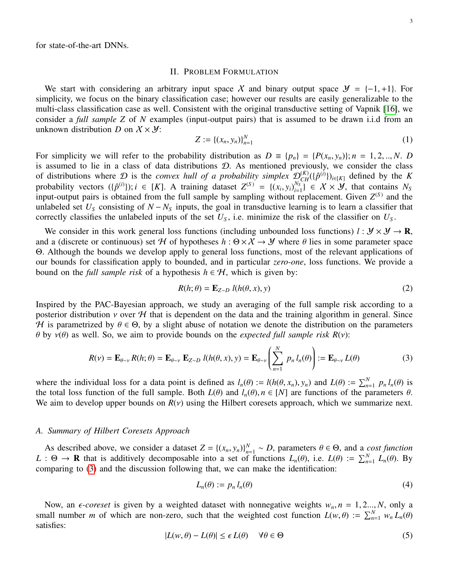for state-of-the-art DNNs.

#### II. PROBLEM FORMULATION

We start with considering an arbitrary input space X and binary output space  $\mathcal{Y} = \{-1, +1\}$ . For simplicity, we focus on the binary classification case; however our results are easily generalizable to the multi-class classification case as well. Consistent with the original transductive setting of Vapnik [\[16\]](#page-15-2), we consider a *full sample Z* of *N* examples (input-output pairs) that is assumed to be drawn i.i.d from an unknown distribution *D* on  $X \times Y$ :

$$
Z := \{(x_n, y_n)\}_{n=1}^N
$$
 (1)

For simplicity we will refer to the probability distribution as  $D = \{p_n\} = \{P(x_n, y_n)\}; n = 1, 2, ..., N$ . *D* is assumed to lie in a class of data distributions  $D$ . As mentioned previously, we consider the class of distributions where  $\mathcal{D}$  is the *convex hull of a probability simplex*  $\mathcal{D}_{CH}^{(K)}(\{\hat{p}^{(i)}\})_{i\in [K]}$  defined by the *K* probability vectors  $({\hat{p}}^{(i)}); i \in [K]$ . A training dataset  $Z^{(S)} = {(x_i, y_i)}_{i=1}^{N_S}$ <br>input-output pairs is obtained from the full sample by sampling without r  $\{N_S \}_{i=1}^N$   $\in X \times Y$ , that contains  $N_S$ input-output pairs is obtained from the full sample by sampling without replacement. Given  $Z^{(S)}$  and the unlabeled set  $U_s$  consisting of  $N - N_s$  inputs, the goal in transductive learning is to learn a classifier that correctly classifies the unlabeled inputs of the set  $U_s$ , i.e. minimize the risk of the classifier on  $U_s$ .

We consider in this work general loss functions (including unbounded loss functions)  $l : \mathcal{Y} \times \mathcal{Y} \to \mathbb{R}$ , and a (discrete or continuous) set H of hypotheses  $h : \Theta \times X \to Y$  where  $\theta$  lies in some parameter space Θ. Although the bounds we develop apply to general loss functions, most of the relevant applications of our bounds for classification apply to bounded, and in particular *zero-one*, loss functions. We provide a bound on the *full sample risk* of a hypothesis  $h \in H$ , which is given by:

$$
R(h; \theta) = \mathbf{E}_{Z \sim D} \ l(h(\theta, x), y) \tag{2}
$$

Inspired by the PAC-Bayesian approach, we study an averaging of the full sample risk according to a posterior distribution  $\nu$  over  $H$  that is dependent on the data and the training algorithm in general. Since H is parametrized by  $\theta \in \Theta$ , by a slight abuse of notation we denote the distribution on the parameters θ by ν(θ) as well. So, we aim to provide bounds on the *expected full sample risk <sup>R</sup>*(ν):

<span id="page-2-0"></span>
$$
R(\nu) = \mathbf{E}_{\theta \sim \nu} R(h; \theta) = \mathbf{E}_{\theta \sim \nu} \mathbf{E}_{Z \sim D} l(h(\theta, x), y) = \mathbf{E}_{\theta \sim \nu} \left( \sum_{n=1}^{N} p_n l_n(\theta) \right) := \mathbf{E}_{\theta \sim \nu} L(\theta)
$$
(3)

where the individual loss for a data point is defined as  $l_n(\theta) := l(h(\theta, x_n), y_n)$  and  $L(\theta) := \sum_{n=1}^{N} p_n l_n(\theta)$  is the total loss function of the full sample. Both  $L(\theta)$  and  $L(\theta)$   $n \in [N]$  are functions of the parameters  $\theta$ the total loss function of the full sample. Both  $L(\theta)$  and  $l_n(\theta)$ ,  $n \in [N]$  are functions of the parameters  $\theta$ . We aim to develop upper bounds on  $R(v)$  using the Hilbert coresets approach, which we summarize next.

#### *A. Summary of Hilbert Coresets Approach*

As described above, we consider a dataset  $Z = \{(x_n, y_n)\}_{n=1}^N \sim D$ , parameters  $\theta \in \Theta$ , and a *cost function*  $\cdot \Theta \rightarrow \mathbf{R}$  that is additively decomposable into a set of functions  $I(\theta)$  i.e.  $I(\theta) \sim \sum_{n=1}^N I(\theta)$ . By  $L : \Theta \to \mathbb{R}$  that is additively decomposable into a set of functions  $L_n(\theta)$ , i.e.  $L(\theta) := \sum_{n=1}^N L_n(\theta)$ . By comparing to (3) and the discussion following that we can make the identification: comparing to [\(3\)](#page-2-0) and the discussion following that, we can make the identification:

$$
L_n(\theta) := p_n l_n(\theta) \tag{4}
$$

Now, an  $\epsilon$ *-coreset* is given by a weighted dataset with nonnegative weights  $w_n$ ,  $n = 1, 2...$ , N, only a small number *m* of which are non-zero, such that the weighted cost function  $L(w, \theta) := \sum_{n=1}^{N} w_n L_n(\theta)$ satisfies:

$$
|L(w, \theta) - L(\theta)| \le \epsilon L(\theta) \quad \forall \theta \in \Theta
$$
\n(5)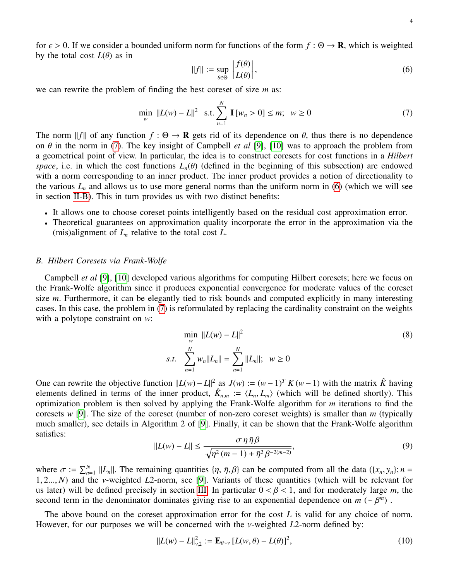for  $\epsilon > 0$ . If we consider a bounded uniform norm for functions of the form  $f : \Theta \to \mathbf{R}$ , which is weighted by the total cost  $L(\theta)$  as in

<span id="page-3-1"></span>
$$
||f|| := \sup_{\theta \in \Theta} \left| \frac{f(\theta)}{L(\theta)} \right|,\tag{6}
$$

we can rewrite the problem of finding the best coreset of size *m* as:

*s*.*t*.

<span id="page-3-0"></span>
$$
\min_{w} \|L(w) - L\|^2 \quad \text{s.t.} \sum_{n=1}^{N} \mathbf{I}[w_n > 0] \le m; \quad w \ge 0 \tag{7}
$$

The norm  $||f||$  of any function  $f : \Theta \to \mathbf{R}$  gets rid of its dependence on  $\theta$ , thus there is no dependence on θ in the norm in [\(7\)](#page-3-0). The key insight of Campbell *et al* [\[9\]](#page-14-6), [\[10\]](#page-14-7) was to approach the problem from a geometrical point of view. In particular, the idea is to construct coresets for cost functions in a *Hilbert space*, i.e. in which the cost functions  $L_n(\theta)$  (defined in the beginning of this subsection) are endowed with a norm corresponding to an inner product. The inner product provides a notion of directionality to the various  $L_n$  and allows us to use more general norms than the uniform norm in [\(6\)](#page-3-1) (which we will see in section [II-B\)](#page-3-2). This in turn provides us with two distinct benefits:

- It allows one to choose coreset points intelligently based on the residual cost approximation error.
- Theoretical guarantees on approximation quality incorporate the error in the approximation via the (mis)alignment of *L<sup>n</sup>* relative to the total cost *L*.

#### <span id="page-3-2"></span>*B. Hilbert Coresets via Frank-Wolfe*

Campbell *et al* [\[9\]](#page-14-6), [\[10\]](#page-14-7) developed various algorithms for computing Hilbert coresets; here we focus on the Frank-Wolfe algorithm since it produces exponential convergence for moderate values of the coreset size *m*. Furthermore, it can be elegantly tied to risk bounds and computed explicitly in many interesting cases. In this case, the problem in [\(7\)](#page-3-0) is reformulated by replacing the cardinality constraint on the weights with a polytope constraint on *w*:

<span id="page-3-3"></span>
$$
\min_{w} \|L(w) - L\|^2
$$
\n
$$
t. \quad \sum_{n=1}^{N} w_n \|L_n\| = \sum_{n=1}^{N} \|L_n\|; \quad w \ge 0
$$
\n
$$
(8)
$$

One can rewrite the objective function  $||L(w) - L||^2$  as  $J(w) := (w - 1)^T K (w - 1)$  with the matrix  $\hat{K}$  having elements defined in terms of the inner product,  $\hat{K}_{n,m} := \langle L_n, L_m \rangle$  (which will be defined shortly). This optimization problem is then solved by applying the Frank-Wolfe algorithm for *m* iterations to find the optimization problem is then solved by applying the Frank-Wolfe algorithm for *m* iterations to find the coresets *w* [\[9\]](#page-14-6). The size of the coreset (number of non-zero coreset weights) is smaller than *m* (typically much smaller), see details in Algorithm 2 of [\[9\]](#page-14-6). Finally, it can be shown that the Frank-Wolfe algorithm satisfies:

$$
||L(w) - L|| \le \frac{\sigma \eta \bar{\eta} \beta}{\sqrt{\eta^2 (m-1) + \bar{\eta}^2 \beta^{-2(m-2)}}},
$$
\n(9)

where  $\sigma := \sum_{n=1}^{N} ||L_n||$ . The remaining quantities  $\{\eta, \bar{\eta}, \beta\}$  can be computed from all the data  $(\{x_n, y_n\}; n = 1, 2, \ldots, N)$  and the *y*-weighted *L*2-norm, see [9]. Variants of these quantities (which will be relevant <sup>1</sup>, <sup>2</sup>..., *<sup>N</sup>*) and the ν-weighted *<sup>L</sup>*2-norm, see [\[9\]](#page-14-6). Variants of these quantities (which will be relevant for us later) will be defined precisely in section [III.](#page-4-0) In particular  $0 < \beta < 1$ , and for moderately large m, the second term in the denominator dominates giving rise to an exponential dependence on  $m$  (∼  $\beta^{m}$ ).

The above bound on the coreset approximation error for the cost *L* is valid for any choice of norm. However, for our purposes we will be concerned with the ν-weighted *<sup>L</sup>*2-norm defined by:

<span id="page-3-4"></span>
$$
||L(w) - L||_{\nu,2}^2 := \mathbf{E}_{\theta \sim \nu} [L(w, \theta) - L(\theta)]^2,
$$
\n(10)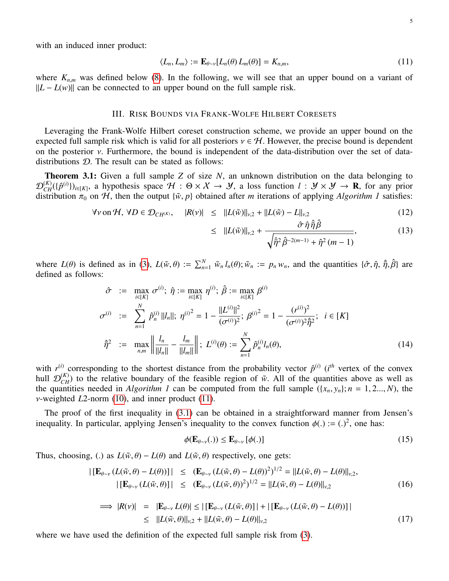with an induced inner product:

<span id="page-4-1"></span>
$$
\langle L_n, L_m \rangle := \mathbf{E}_{\theta \sim \nu} [L_n(\theta) L_m(\theta)] = K_{n,m}, \tag{11}
$$

where  $K_{n,m}$  was defined below [\(8\)](#page-3-3). In the following, we will see that an upper bound on a variant of ||*L* − *L*(*w*)|| can be connected to an upper bound on the full sample risk.

# III. RISK BOUNDS VIA FRANK-WOLFE HILBERT CORESETS

<span id="page-4-0"></span>Leveraging the Frank-Wolfe Hilbert coreset construction scheme, we provide an upper bound on the expected full sample risk which is valid for all posteriors  $v \in H$ . However, the precise bound is dependent on the posterior  $\nu$ . Furthermore, the bound is independent of the data-distribution over the set of datadistributions D. The result can be stated as follows:

<span id="page-4-2"></span>Theorem 3.1: Given a full sample *Z* of size *N*, an unknown distribution on the data belonging to  $\mathcal{D}_{CH}^{(K)}(\{\hat{p}^{(i)}\})_{i\in[K]}$ , a hypothesis space  $H: \Theta \times X \to Y$ , a loss function  $l: Y \times Y \to \mathbf{R}$ , for any prior distribution  $\pi_0$  on  $\mathcal{H}$ , then the output  $\{\tilde{w}, p\}$  obtained after *m* iterations of applying *Algorithm 1* satisfies:

<span id="page-4-4"></span>
$$
\forall v \text{ on } \mathcal{H}, \forall D \in \mathcal{D}_{CH^{(K)}}, \quad |R(v)| \leq ||L(\tilde{w})||_{v,2} + ||L(\tilde{w}) - L||_{v,2} \quad \text{(12)}
$$

$$
\leq \|L(\tilde{w})\|_{\nu,2} + \frac{\partial^2 \tilde{\eta} \bar{\eta} \beta}{\sqrt{\hat{\eta}^2 \hat{\beta}^{-2(m-1)} + \hat{\eta}^2 (m-1)}},\tag{13}
$$

where  $L(\theta)$  is defined as in [\(3\)](#page-2-0),  $L(\tilde{w}, \theta) := \sum_{n=1}^{N} \tilde{w}_n l_n(\theta); \tilde{w}_n := p_n w_n$ , and the quantities  $\{\hat{\sigma}, \hat{\eta}, \hat{\eta}, \hat{\beta}\}$  are defined as follows:

<span id="page-4-3"></span>
$$
\hat{\sigma} := \max_{i \in [K]} \sigma^{(i)}; \ \hat{\eta} := \max_{i \in [K]} \eta^{(i)}; \ \hat{\beta} := \max_{i \in [K]} \beta^{(i)}
$$
\n
$$
\sigma^{(i)} := \sum_{n=1}^{N} \hat{p}_{n}^{(i)} ||l_{n}||; \ \eta^{(i)} = 1 - \frac{||L^{(i)}||^{2}}{(\sigma^{(i)})^{2}}; \ \beta^{(i)} = 1 - \frac{(r^{(i)})^{2}}{(\sigma^{(i)})^{2}\hat{\eta}^{2}}; \ \ i \in [K]
$$
\n
$$
\hat{\eta}^{2} := \max_{n,m} \left\| \frac{l_{n}}{||l_{n}||} - \frac{l_{m}}{||l_{m}||} \right\|; \ L^{(i)}(\theta) := \sum_{n=1}^{N} \hat{p}_{n}^{(i)} l_{n}(\theta), \tag{14}
$$

with  $r^{(i)}$  corresponding to the shortest distance from the probability vector  $\hat{p}^{(i)}$  (*i*<sup>th</sup> vertex of the convex hull  $\mathcal{D}_{CH}^{(K)}$ ) to the relative boundary of the feasible region of  $\tilde{w}$ . All of the quantities above as well as the quantities needed in *Algorithm 1* can be computed from the full sample  $({x_n, y_n}; n = 1, 2..., N)$ , the ν-weighted *<sup>L</sup>*2-norm [\(10\)](#page-3-4), and inner product [\(11\)](#page-4-1).

The proof of the first inequality in [\(3.1\)](#page-4-2) can be obtained in a straightforward manner from Jensen's inequality. In particular, applying Jensen's inequality to the convex function  $\phi(.) :=(.)^2$ , one has:

$$
\phi(\mathbf{E}_{\theta \sim \nu}(.) ) \leq \mathbf{E}_{\theta \sim \nu} [\phi(.) ] \tag{15}
$$

Thus, choosing, (.) as  $L(\tilde{w}, \theta) - L(\theta)$  and  $L(\tilde{w}, \theta)$  respectively, one gets:

$$
\begin{aligned} \left| \left[ \mathbf{E}_{\theta \sim \nu} \left( L(\tilde{w}, \theta) - L(\theta) \right) \right] \right| &\leq \left( \mathbf{E}_{\theta \sim \nu} \left( L(\tilde{w}, \theta) - L(\theta) \right)^2 \right)^{1/2} = \| L(\tilde{w}, \theta) - L(\theta) \|_{\nu, 2}, \\ \left| \left[ \mathbf{E}_{\theta \sim \nu} \left( L(\tilde{w}, \theta) \right) \right] \right| &\leq \left( \mathbf{E}_{\theta \sim \nu} \left( L(\tilde{w}, \theta) \right)^2 \right)^{1/2} = \| L(\tilde{w}, \theta) - L(\theta) \|_{\nu, 2} \end{aligned} \tag{16}
$$

$$
\implies |R(\mathbf{v})| = |\mathbf{E}_{\theta \sim \mathbf{v}} L(\theta)| \leq |[\mathbf{E}_{\theta \sim \mathbf{v}} (L(\tilde{\mathbf{w}}, \theta))] + |[\mathbf{E}_{\theta \sim \mathbf{v}} (L(\tilde{\mathbf{w}}, \theta) - L(\theta))]|
$$
  

$$
\leq ||L(\tilde{\mathbf{w}}, \theta)||_{\mathbf{v},2} + ||L(\tilde{\mathbf{w}}, \theta) - L(\theta)||_{\mathbf{v},2}
$$
 (17)

where we have used the definition of the expected full sample risk from [\(3\)](#page-2-0).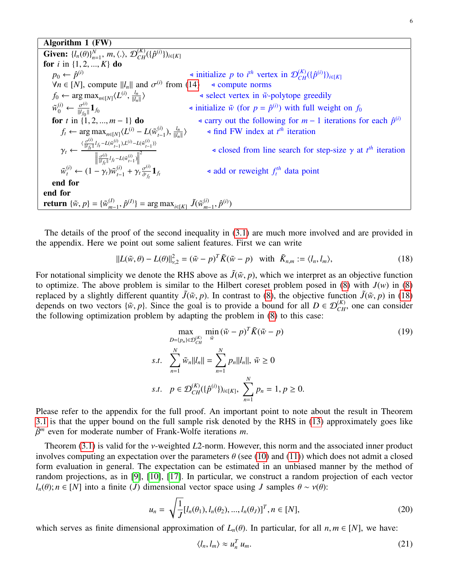# Algorithm 1 (FW)

 $\textbf{Given: } \{l_n(\theta)\}_{n=1}^N, m, \langle . \rangle, \mathcal{D}_{CH}^{(K)}(\{\hat{p}^{(i)}\})_{i \in [K]}$ <br>
for *i* in {1 2 K} do **for** *i* in  $\{1, 2, ..., K\}$  **do**  $p_0 \leftarrow \hat{p}^{(i)}$  $\triangleleft$  initialize *p* to *i*<sup>th</sup> vertex in  $\mathcal{D}_{CH}^{(K)}(\{\hat{p}^{(i)}\})_{i \in [K]}$ <br>(14)  $\triangleleft$  compute norms  $\forall n \in [N]$ , compute  $||l_n||$  and  $\sigma^{(i)}$  from [\(14\)](#page-4-3)  $\triangleleft$  compute norms<br>from  $\gamma I^{(i)} \xrightarrow{l_n} I^{(i)}$  $f_0 \leftarrow \arg \max_{n \in [N]} \langle L^{(i)} \rangle$ , *ln*  $\triangleleft$  select vertex in  $\tilde{w}$ -polytope greedily  $\tilde{w}_0^{(i)} \leftarrow \frac{\sigma^{(i)}}{\|l_{f_0}\|}$  $\frac{\sigma^{(i)}}{\|l_{f_0}\|} 1_{f_0}$  $\sim$  initialize  $\tilde{w}$  (for  $p = \hat{p}^{(i)}$ ) with full weight on  $f_0$ for *t* in {1, 2, ..., *m* − 1} do <br>  $f \leftarrow \arg \max_{I \in \mathcal{I}} \left( I^{(i)} \right) \left( I^{(i)} \right) \left( \frac{I_{n-1}}{I_{n-1}} \right)$  a find FW index at *t*<sup>th</sup> iteration</sub>  $f_t \leftarrow \arg \max_{n \in [N]} \langle L^{(i)} - L(\tilde{w}_{t-1}^{(i)}) \rangle$ *t*−1 ), *ln*  $\frac{l_n}{\|l_n\|}$   $\rightarrow$  find FW index at  $t^{\text{th}}$  iteration  $\gamma_t \leftarrow \frac{\langle \frac{\sigma^{(i)}}{\|l_{f_t}\|} \rangle}{\|l_{f_t}\|}$  $\frac{\partial^{(l)}}{\partial l_{f}} l_{f}$   $l_{f}$   $- L(\tilde{w}_{t-1}^{(i)})$ , $L^{(i)} - L(\tilde{w}_{t-1}^{(i)})$  $\left\| \frac{\sigma^{(i)}}{\|l_{ft} \|} l_{ft} - L(\tilde{w}_{t-1}^{(i)}) \right\|$ 2  $\triangleleft$  closed from line search for step-size  $\gamma$  at  $t^{\text{th}}$  iteration  $\tilde{w}_t^{(i)} \leftarrow (1 - \gamma_t) \tilde{w}_{t-}^{(i)}$  $(t)$ <sub>*t*−1</sub> +  $\gamma_t \frac{\sigma^{(i)}}{\tilde{\sigma}_{f_t}}$  $\frac{\sigma^{(t)}}{\tilde{\sigma}_{f_t}} \mathbf{1}_{f_t}$  $\triangleleft$  add or reweight  $f_t^{th}$  data point end for end for return  $\{\tilde{w}, p\} = \{\tilde{w}_{m}^{(I)}\}$  $\{(\hat{I})\}_{m-1}, \hat{p}^{(I)}\} = \arg \max_{i \in [K]} \tilde{J}(\tilde{w}_{m}^{(i)})$  $\frac{(i)}{m-1}, \hat{p}^{(i)}$ 

The details of the proof of the second inequality in [\(3.1\)](#page-4-2) are much more involved and are provided in the appendix. Here we point out some salient features. First we can write

<span id="page-5-0"></span>
$$
||L(\tilde{w}, \theta) - L(\theta)||_{\nu,2}^2 = (\tilde{w} - p)^T \tilde{K}(\tilde{w} - p) \quad \text{with} \quad \tilde{K}_{n,m} := \langle l_n, l_m \rangle,
$$
\n(18)

For notational simplicity we denote the RHS above as  $\tilde{J}(\tilde{w}, p)$ , which we interpret as an objective function to optimize. The above problem is similar to the Hilbert coreset problem posed in  $(8)$  with  $J(w)$  in  $(8)$ replaced by a slightly different quantity  $\tilde{J}(\tilde{w}, p)$ . In contrast to [\(8\)](#page-3-3), the objective function  $\tilde{J}(\tilde{w}, p)$  in [\(18\)](#page-5-0) depends on two vectors  $\{\tilde{w}, p\}$ . Since the goal is to provide a bound for all  $D \in \mathcal{D}_{CH}^{(K)}$ , one can consider the following optimization problem by adapting the problem in (8) to this case: the following optimization problem by adapting the problem in [\(8\)](#page-3-3) to this case:

<span id="page-5-2"></span>
$$
\max_{D = \{p_n\} \in \mathcal{D}_{CH}^{(K)}} \min_{\tilde{w}} (\tilde{w} - p)^T \tilde{K}(\tilde{w} - p)
$$
\ns.t. 
$$
\sum_{n=1}^{N} \tilde{w}_n ||l_n|| = \sum_{n=1}^{N} p_n ||l_n||, \ \tilde{w} \ge 0
$$
\ns.t. 
$$
p \in \mathcal{D}_{CH}^{(K)}(\{\hat{p}^{(i)}\})_{i \in [K]}, \ \sum_{n=1}^{N} p_n = 1, p \ge 0.
$$
\n(19)

Please refer to the appendix for the full proof. An important point to note about the result in Theorem [3.1](#page-4-2) is that the upper bound on the full sample risk denoted by the RHS in [\(13\)](#page-4-4) approximately goes like βˆ*m* even for moderate number of Frank-Wolfe iterations *m*.

Theorem [\(3.1\)](#page-4-2) is valid for the ν-weighted *<sup>L</sup>*2-norm. However, this norm and the associated inner product involves computing an expectation over the parameters  $\theta$  (see [\(10\)](#page-3-4) and [\(11\)](#page-4-1)) which does not admit a closed form evaluation in general. The expectation can be estimated in an unbiased manner by the method of random projections, as in [\[9\]](#page-14-6), [\[10\]](#page-14-7), [\[17\]](#page-15-3). In particular, we construct a random projection of each vector  $l_n(\theta)$ ;  $n \in [N]$  into a finite (*J*) dimensional vector space using *J* samples  $\theta \sim v(\theta)$ :

<span id="page-5-1"></span>
$$
u_n = \sqrt{\frac{1}{J}} [l_n(\theta_1), l_n(\theta_2), ..., l_n(\theta_J)]^T, n \in [N],
$$
\n(20)

which serves as finite dimensional approximation of  $L_n(\theta)$ . In particular, for all  $n, m \in [N]$ , we have:

$$
\langle l_n, l_m \rangle \approx u_n^T u_m. \tag{21}
$$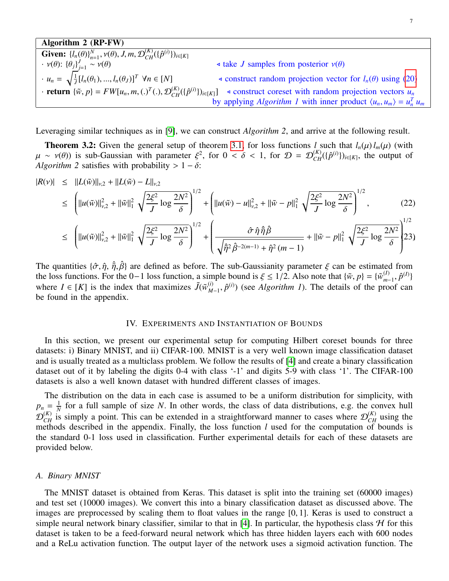# Algorithm 2 (RP-FW)

| <b>Given:</b> $\{l_n(\theta)\}_{n=1}^N$ , $v(\theta)$ , J, m, $\mathcal{D}_{CH}^{(K)}(\{\hat{p}^{(i)}\})_{i\in[K]}$ |                                                                                          |
|---------------------------------------------------------------------------------------------------------------------|------------------------------------------------------------------------------------------|
| $\cdot \nu(\theta)$ : $\{\theta_j\}_{j=1}^J \sim \nu(\theta)$                                                       | $\triangleleft$ take <i>J</i> samples from posterior $v(\theta)$                         |
| $u_n = \sqrt{\frac{1}{J} [l_n(\theta_1), , l_n(\theta_J)]^T} \ \forall n \in [N]$                                   | $\triangleleft$ construct random projection vector for $l_n(\theta)$ using (20)          |
| <b>return</b> $\{\tilde{w}, p\} = FW[u_n, m, (.)^T(.) , \mathcal{D}_{CH}^{(K)}(\{\hat{p}^{(i)}\})_{i \in [K]}$      | $\triangleleft$ construct coreset with random projection vectors $u_n$                   |
|                                                                                                                     | by applying <i>Algorithm 1</i> with inner product $\langle u_n, u_m \rangle = u_n^T u_m$ |
|                                                                                                                     |                                                                                          |

Leveraging similar techniques as in [\[9\]](#page-14-6), we can construct *Algorithm 2*, and arrive at the following result.

<span id="page-6-0"></span>**Theorem 3.2:** Given the general setup of theorem [3.1,](#page-4-2) for loss functions *l* such that  $l_n(\mu) l_m(\mu)$  (with  $\sim \nu(\theta)$ ) is sub-Gaussian with parameter  $\xi^2$  for  $0 < \delta < 1$  for  $\mathcal{D} = \mathcal{D}^{(K)}(f_0(\theta))$ ,  $m$  the output of  $\mu \sim v(\theta)$ ) is sub-Gaussian with parameter  $\xi^2$ , for  $0 < \delta < 1$ , for  $\mathcal{D} = \mathcal{D}_{CH}^{(K)}(\{\hat{p}^{(i)}\})_{i \in [K]}$ , the output of *Algorithm* 2 satisfies with probability  $> 1 - \delta$ ; *Algorithm 2* satisfies with probability >  $1 - \delta$ :

<span id="page-6-1"></span>
$$
|R(v)| \leq ||L(\tilde{w})||_{v,2} + ||L(\tilde{w}) - L||_{v,2}
$$
  
\n
$$
\leq \left( ||u(\tilde{w})||_{v,2}^2 + ||\tilde{w}||_1^2 \sqrt{\frac{2\xi^2}{J} \log \frac{2N^2}{\delta}} \right)^{1/2} + \left( ||u(\tilde{w}) - u||_{v,2}^2 + ||\tilde{w} - p||_1^2 \sqrt{\frac{2\xi^2}{J} \log \frac{2N^2}{\delta}} \right)^{1/2},
$$
\n(22)

$$
\leq \left( \left\| u(\tilde{w}) \right\|_{\nu,2}^2 + \left\| \tilde{w} \right\|_1^2 \sqrt{\frac{2\xi^2}{J} \log \frac{2N^2}{\delta}} \right)^{1/2} + \left( \frac{\hat{\sigma} \hat{\eta} \hat{\eta} \hat{\beta}}{\sqrt{\hat{\eta}^2 \hat{\beta}^{-2(m-1)} + \hat{\eta}^2(m-1)}} + \left\| \tilde{w} - p \right\|_1^2 \sqrt{\frac{2\xi^2}{J} \log \frac{2N^2}{\delta}} \right) (23)
$$

The quantities  $\{\hat{\sigma}, \hat{\eta}, \hat{\eta}, \hat{\beta}\}$  are defined as before. The sub-Gaussianity parameter  $\xi$  can be estimated from<br>the loss functions. For the 0–1 loss function a simple bound is  $\xi < 1/2$ . Also note that  $\{\tilde{w}, n\}$ the loss functions. For the 0−1 loss function, a simple bound is  $\xi \le 1/2$ . Also note that  $\{\tilde{w}, p\} = \{\tilde{w}_{m}^{(I)}\}$ <br>where  $I \in [K]$  is the index that maximizes  $\tilde{I}(\tilde{w}^{(i)} - \hat{w}^{(i)})$  (see Algorithm 1). The detai  $\hat{p}^{(I)}$ <sub>*m*−1</sub>,  $\hat{p}^{(I)}$ }<br>roof can where  $I \in [K]$  is the index that maximizes  $\tilde{J}(\tilde{w}_M^{(i)})$  $\hat{p}_{M-1}^{(i)}$ ,  $\hat{p}^{(i)}$ ) (see *Algorithm 1*). The details of the proof can be found in the appendix.

## IV. EXPERIMENTS AND INSTANTIATION OF BOUNDS

<span id="page-6-3"></span>In this section, we present our experimental setup for computing Hilbert coreset bounds for three datasets: i) Binary MNIST, and ii) CIFAR-100. MNIST is a very well known image classification dataset and is usually treated as a multiclass problem. We follow the results of [\[4\]](#page-14-3) and create a binary classification dataset out of it by labeling the digits 0-4 with class '-1' and digits 5-9 with class '1'. The CIFAR-100 datasets is also a well known dataset with hundred different classes of images.

The distribution on the data in each case is assumed to be a uniform distribution for simplicity, with  $p_n = \frac{1}{N}$  $\frac{1}{N}$  for a full sample of size *N*. In other words, the class of data distributions, e.g. the convex hull  $\mathcal{D}_{CH}^{(K)}$  is simply a point. This can be extended in a straightforward manner to cases where  $\mathcal{D}_{CH}^{(K)}$  using the methods described in the appendix. Finally, the loss function *l* used for the computation of bounds is the standard 0-1 loss used in classification. Further experimental details for each of these datasets are provided below.

# <span id="page-6-2"></span>*A. Binary MNIST*

The MNIST dataset is obtained from Keras. This dataset is split into the training set (60000 images) and test set (10000 images). We convert this into a binary classification dataset as discussed above. The images are preprocessed by scaling them to float values in the range [0, 1]. Keras is used to construct a simple neural network binary classifier, similar to that in [\[4\]](#page-14-3). In particular, the hypothesis class  $H$  for this dataset is taken to be a feed-forward neural network which has three hidden layers each with 600 nodes and a ReLu activation function. The output layer of the network uses a sigmoid activation function. The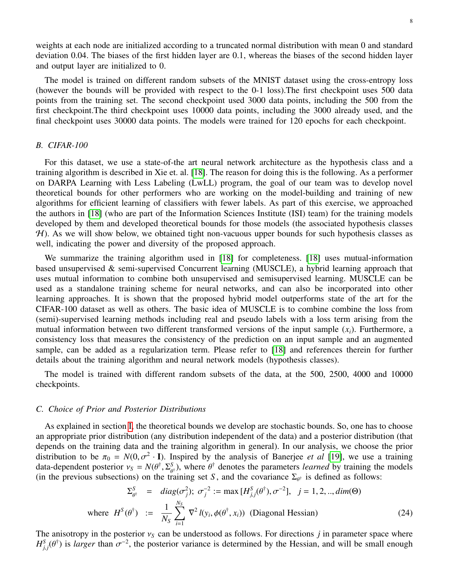weights at each node are initialized according to a truncated normal distribution with mean 0 and standard deviation <sup>0</sup>.04. The biases of the first hidden layer are 0.1, whereas the biases of the second hidden layer and output layer are initialized to 0.

The model is trained on different random subsets of the MNIST dataset using the cross-entropy loss (however the bounds will be provided with respect to the 0-1 loss).The first checkpoint uses 500 data points from the training set. The second checkpoint used 3000 data points, including the 500 from the first checkpoint.The third checkpoint uses 10000 data points, including the 3000 already used, and the final checkpoint uses 30000 data points. The models were trained for 120 epochs for each checkpoint.

# <span id="page-7-1"></span>*B. CIFAR-100*

For this dataset, we use a state-of-the art neural network architecture as the hypothesis class and a training algorithm is described in Xie et. al. [\[18\]](#page-15-4). The reason for doing this is the following. As a performer on DARPA Learning with Less Labeling (LwLL) program, the goal of our team was to develop novel theoretical bounds for other performers who are working on the model-building and training of new algorithms for efficient learning of classifiers with fewer labels. As part of this exercise, we approached the authors in [\[18\]](#page-15-4) (who are part of the Information Sciences Institute (ISI) team) for the training models developed by them and developed theoretical bounds for those models (the associated hypothesis classes  $H$ ). As we will show below, we obtained tight non-vacuous upper bounds for such hypothesis classes as well, indicating the power and diversity of the proposed approach.

We summarize the training algorithm used in [\[18\]](#page-15-4) for completeness. [18] uses mutual-information based unsupervised & semi-supervised Concurrent learning (MUSCLE), a hybrid learning approach that uses mutual information to combine both unsupervised and semisupervised learning. MUSCLE can be used as a standalone training scheme for neural networks, and can also be incorporated into other learning approaches. It is shown that the proposed hybrid model outperforms state of the art for the CIFAR-100 dataset as well as others. The basic idea of MUSCLE is to combine combine the loss from (semi)-supervised learning methods including real and pseudo labels with a loss term arising from the mutual information between two different transformed versions of the input sample  $(x_i)$ . Furthermore, a consistency loss that measures the consistency of the prediction on an input sample and an augmented sample, can be added as a regularization term. Please refer to [\[18\]](#page-15-4) and references therein for further details about the training algorithm and neural network models (hypothesis classes).

The model is trained with different random subsets of the data, at the 500, 2500, 4000 and 10000 checkpoints.

## <span id="page-7-0"></span>*C. Choice of Prior and Posterior Distributions*

As explained in section [I,](#page-0-0) the theoretical bounds we develop are stochastic bounds. So, one has to choose an appropriate prior distribution (any distribution independent of the data) and a posterior distribution (that depends on the training data and the training algorithm in general). In our analysis, we choose the prior distribution to be  $\pi_0 = N(0, \sigma^2)$ <br>data-dependent posterior  $y_c - N$ distribution to be  $\pi_0 = N(0, \sigma^2 \cdot I)$ . Inspired by the analysis of Banerjee *et al* [\[19\]](#page-15-5), we use a training data-dependent posterior  $v_s = N(\theta^{\dagger}, \Sigma_{\theta^{\dagger}}^S)$ , where  $\theta^{\dagger}$  denotes the parameters *learned* by training the models (in the previous subsections) on the training set *S* and the covariance  $\Sigma_{\theta}$  is defined as (in the previous subsections) on the training set *S*, and the covariance  $\Sigma_{\theta^{\dagger}}$  is defined as follows:

$$
\Sigma_{\theta^{\dagger}}^{S} = diag(\sigma_{j}^{2}); \ \sigma_{j}^{-2} := \max [H_{j,j}^{S}(\theta^{\dagger}), \sigma^{-2}], \ \ j = 1, 2, ..., dim(\Theta)
$$
  
where  $H^{S}(\theta^{\dagger}) := \frac{1}{N_{S}} \sum_{i=1}^{N_{S}} \nabla^{2} l(y_{i}, \phi(\theta^{\dagger}, x_{i}))$  (Diagonal Hessian) (24)

The anisotropy in the posterior  $v_s$  can be understood as follows. For directions *j* in parameter space where  $H_i^{\mathcal{S}}$  $\int_{i,j}^{S} (\theta^{\dagger})$  is *larger* than  $\sigma^{-2}$ , the posterior variance is determined by the Hessian, and will be small enough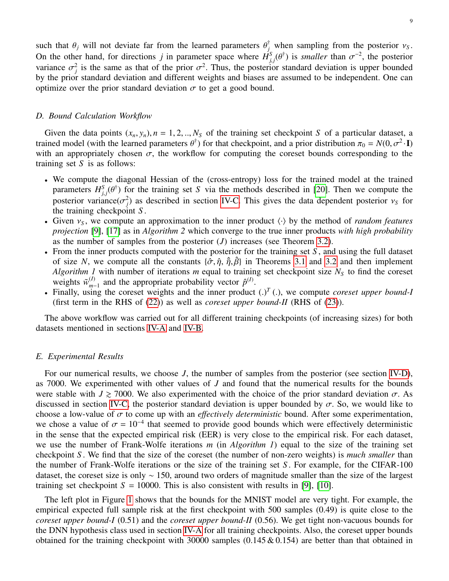such that  $\theta_j$  will not deviate far from the learned parameters  $\theta_j^{\dagger}$  when sampling from the posterior  $v_S$ .<br>On the other hand, for directions *i* in parameter space where  $H^S(\theta^{\dagger})$  is smaller than  $\sigma^{-2}$ , the p On the other hand, for directions *j* in parameter space where  $H_{j,j}^S(\theta^{\dagger})$  is *smaller* than  $\sigma^{-2}$ , the posterior variance  $\sigma^2$  is the same as that of the prior  $\sigma^2$ . Thus, the posterior standard deviation is u *j*, *j* variance  $\sigma_j^2$  is the same as that of the prior  $\sigma^2$ . Thus, the posterior standard deviation is upper bounded<br>by the prior standard deviation and different weights and biases are assumed to be independent. One can by the prior standard deviation and different weights and biases are assumed to be independent. One can optimize over the prior standard deviation  $\sigma$  to get a good bound.

## <span id="page-8-1"></span>*D. Bound Calculation Workflow*

Given the data points  $(x_n, y_n)$ ,  $n = 1, 2, ..., N_S$  of the training set checkpoint *S* of a particular dataset, a trained model (with the learned parameters  $\theta^{\dagger}$ ) for that checkpoint, and a prior distribution  $\pi_0 = N(0, \sigma^2 \cdot I)$ <br>with an appropriately chosen  $\sigma$ , the workflow for computing the coreset bounds corresponding to the with an appropriately chosen  $\sigma$ , the workflow for computing the coreset bounds corresponding to the training set *S* is as follows:

- We compute the diagonal Hessian of the (cross-entropy) loss for the trained model at the trained parameters  $H_{j,j}^S(\theta^{\dagger})$  for the training set *S* via the methods described in [\[20\]](#page-15-6). Then we compute the posterior variance  $(\sigma^2)$  as described in section  $W_C$ . This gives the data dependent posterior  $y_c$  for *j*, *j* posterior variance( $\sigma_j^2$ ) as described in section [IV-C.](#page-7-0) This gives the data dependent posterior  $v_s$  for the training checkpoint S the training checkpoint *S* .
- Given  $v_s$ , we compute an approximation to the inner product  $\langle \cdot \rangle$  by the method of *random features projection* [\[9\]](#page-14-6), [\[17\]](#page-15-3) as in *Algorithm 2* which converge to the true inner products *with high probability* as the number of samples from the posterior (*J*) increases (see Theorem [3.2\)](#page-6-0).
- From the inner products computed with the posterior for the training set *S* , and using the full dataset of size *N*, we compute all the constants  $\{\hat{\sigma}, \hat{\eta}, \hat{\eta}, \hat{\beta}\}\$  in Theorems [3.1](#page-4-2) and [3.2](#page-6-0) and then implement *Algorithm 1* with number of iterations *m* equal to training set checkpoint size  $N<sub>S</sub>$  to find the coreset weights  $\tilde{w}_{m}^{(I)}$  $\hat{p}^{(I)}_{m-1}$  and the appropriate probability vector  $\hat{p}^{(I)}$ .
- Finally, using the coreset weights and the inner product  $(.)^T(.)$ , we compute *coreset upper bound-I* (first term in the RHS of (22)) as well as *coreset upper bound-II* (RHS of (23)) (first term in the RHS of [\(22\)](#page-6-1)) as well as *coreset upper bound-II* (RHS of [\(23\)](#page-6-1)).

The above workflow was carried out for all different training checkpoints (of increasing sizes) for both datasets mentioned in sections [IV-A](#page-6-2) and [IV-B.](#page-7-1)

## <span id="page-8-0"></span>*E. Experimental Results*

For our numerical results, we choose *J*, the number of samples from the posterior (see section [IV-D\)](#page-8-1), as 7000. We experimented with other values of *J* and found that the numerical results for the bounds were stable with  $J \ge 7000$ . We also experimented with the choice of the prior standard deviation  $\sigma$ . As discussed in section [IV-C,](#page-7-0) the posterior standard deviation is upper bounded by  $\sigma$ . So, we would like to choose a low-value of  $\sigma$  to come up with an *effectively deterministic* bound. After some experimentation, we chose a value of  $\sigma = 10^{-4}$  that seemed to provide good bounds which were effectively deterministic<br>in the sense that the expected empirical risk (EER) is very close to the empirical risk. For each dataset in the sense that the expected empirical risk (EER) is very close to the empirical risk. For each dataset, we use the number of Frank-Wolfe iterations *m* (in *Algorithm 1*) equal to the size of the training set checkpoint *S* . We find that the size of the coreset (the number of non-zero weights) is *much smaller* than the number of Frank-Wolfe iterations or the size of the training set *S* . For example, for the CIFAR-100 dataset, the coreset size is only ∼ 150, around two orders of magnitude smaller than the size of the largest training set checkpoint  $S = 10000$ . This is also consistent with results in [\[9\]](#page-14-6), [\[10\]](#page-14-7).

The left plot in Figure [1](#page-9-0) shows that the bounds for the MNIST model are very tight. For example, the empirical expected full sample risk at the first checkpoint with 500 samples (0.49) is quite close to the *coreset upper bound-I* (0.51) and the *coreset upper bound-II* (0.56). We get tight non-vacuous bounds for the DNN hypothesis class used in section [IV-A](#page-6-2) for all training checkpoints. Also, the coreset upper bounds obtained for the training checkpoint with 30000 samples  $(0.145 \& 0.154)$  are better than that obtained in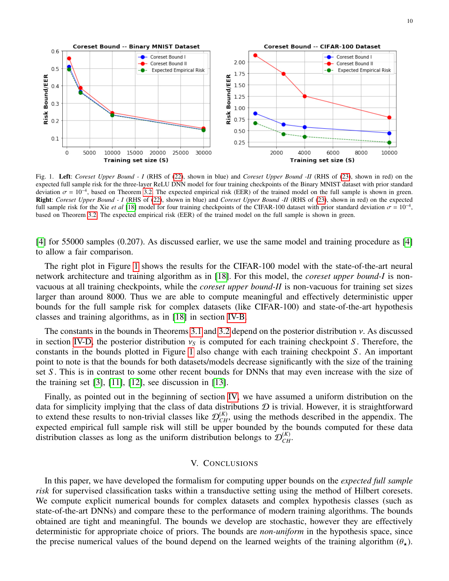

<span id="page-9-0"></span>Fig. 1. Left: *Coreset Upper Bound - I* (RHS of [\(22\)](#page-6-1), shown in blue) and *Coreset Upper Bound -II* (RHS of [\(23\)](#page-6-1), shown in red) on the expected full sample risk for the three-layer ReLU DNN model for four training checkpoints of the Binary MNIST dataset with prior standard deviation  $\sigma = 10^{-4}$ , based on Theorem [3.2.](#page-6-0) The expected empirical risk (EER) of the trained model on the full sample is shown in green.<br>**Right:** Careset Unper Bound - L(RHS of (22), shown in blue) and Careset Unper Boun Right: *Coreset Upper Bound - I* (RHS of [\(22\)](#page-6-1), shown in blue) and *Coreset Upper Bound -II* (RHS of [\(23\)](#page-6-1), shown in red) on the expected full sample risk for the Xie *et al* [\[18\]](#page-15-4) model for four training checkpoints of the CIFAR-100 dataset with prior standard deviation  $\sigma = 10^{-4}$ , hased on Theorem 3.2. The expected empirical risk (EER) of the trained mode based on Theorem [3.2.](#page-6-0) The expected empirical risk (EER) of the trained model on the full sample is shown in green.

[\[4\]](#page-14-3) for 55000 samples (0.207). As discussed earlier, we use the same model and training procedure as [\[4\]](#page-14-3) to allow a fair comparison.

The right plot in Figure [1](#page-9-0) shows the results for the CIFAR-100 model with the state-of-the-art neural network architecture and training algorithm as in [\[18\]](#page-15-4). For this model, the *coreset upper bound-I* is nonvacuous at all training checkpoints, while the *coreset upper bound-II* is non-vacuous for training set sizes larger than around 8000. Thus we are able to compute meaningful and effectively deterministic upper bounds for the full sample risk for complex datasets (like CIFAR-100) and state-of-the-art hypothesis classes and training algorithms, as in [\[18\]](#page-15-4) in section [IV-B.](#page-7-1)

The constants in the bounds in Theorems [3.1](#page-4-2) and [3.2](#page-6-0) depend on the posterior distribution ν. As discussed in section [IV-D,](#page-8-1) the posterior distribution  $v<sub>S</sub>$  is computed for each training checkpoint *S*. Therefore, the constants in the bounds plotted in Figure [1](#page-9-0) also change with each training checkpoint *S* . An important point to note is that the bounds for both datasets/models decrease significantly with the size of the training set *S* . This is in contrast to some other recent bounds for DNNs that may even increase with the size of the training set  $[3]$ ,  $[11]$ ,  $[12]$ , see discussion in  $[13]$ .

Finally, as pointed out in the beginning of section [IV,](#page-6-3) we have assumed a uniform distribution on the data for simplicity implying that the class of data distributions  $D$  is trivial. However, it is straightforward to extend these results to non-trivial classes like  $\mathcal{D}_{CH}^{(K)}$ , using the methods described in the appendix. The expected empirical full sample risk will still be upper bounded by the bounds computed for these data distribution classes as long as the uniform distribution belongs to  $\mathcal{D}_{CH}^{(K)}$ .

# V. CONCLUSIONS

In this paper, we have developed the formalism for computing upper bounds on the *expected full sample risk* for supervised classification tasks within a transductive setting using the method of Hilbert coresets. We compute explicit numerical bounds for complex datasets and complex hypothesis classes (such as state-of-the-art DNNs) and compare these to the performance of modern training algorithms. The bounds obtained are tight and meaningful. The bounds we develop are stochastic, however they are effectively deterministic for appropriate choice of priors. The bounds are *non-uniform* in the hypothesis space, since the precise numerical values of the bound depend on the learned weights of the training algorithm  $(\theta_{\star})$ .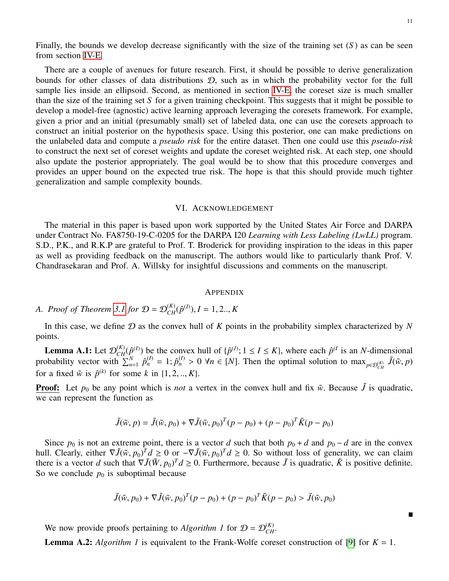П

Finally, the bounds we develop decrease significantly with the size of the training set (*S* ) as can be seen from section [IV-E.](#page-8-0)

There are a couple of avenues for future research. First, it should be possible to derive generalization bounds for other classes of data distributions  $D$ , such as in which the probability vector for the full sample lies inside an ellipsoid. Second, as mentioned in section [IV-E,](#page-8-0) the coreset size is much smaller than the size of the training set *S* for a given training checkpoint. This suggests that it might be possible to develop a model-free (agnostic) active learning approach leveraging the coresets framework. For example, given a prior and an initial (presumably small) set of labeled data, one can use the coresets approach to construct an initial posterior on the hypothesis space. Using this posterior, one can make predictions on the unlabeled data and compute a *pseudo risk* for the entire dataset. Then one could use this *pseudo-risk* to construct the next set of coreset weights and update the coreset weighted risk. At each step, one should also update the posterior appropriately. The goal would be to show that this procedure converges and provides an upper bound on the expected true risk. The hope is that this should provide much tighter generalization and sample complexity bounds.

## VI. ACKNOWLEDGEMENT

The material in this paper is based upon work supported by the United States Air Force and DARPA under Contract No. FA8750-19-C-0205 for the DARPA I20 *Learning with Less Labeling (LwLL)* program. S.D., P.K., and R.K.P are grateful to Prof. T. Broderick for providing inspiration to the ideas in this paper as well as providing feedback on the manuscript. The authors would like to particularly thank Prof. V. Chandrasekaran and Prof. A. Willsky for insightful discussions and comments on the manuscript.

## APPENDIX

# *A. Proof of Theorem [3.1](#page-4-2) for*  $D = D_{CH}^{(K)}(\hat{p}^{(I)}), I = 1, 2, ..., K$

In this case, we define D as the convex hull of *K* points in the probability simplex characterized by *N* points.

<span id="page-10-0"></span>**Lemma A.1:** Let  $\mathcal{D}_{CH}^{(K)}(\hat{p}^{(I)})$  be the convex hull of  $\{\hat{p}^{(I)}; 1 \le I \le K\}$ , where each  $\hat{p}^{(I)}$  is an *N*-dimensional probability vector with  $\sum_{n=1}^{N} \hat{p}_n^{(I)} = 1$ ;  $\hat{p}_n^{(I)} > 0$   $\forall n \in [N]$ . Then the optimal solution to  $\max_{p \in \mathcal{D}_{CH}^{(K)}} \tilde{J}(\tilde{w}, p)$ for a fixed  $\tilde{w}$  is  $\hat{p}^{(k)}$  for some *k* in  $\{1, 2, ..., K\}$ .

**Proof:** Let  $p_0$  be any point which is *not* a vertex in the convex hull and fix  $\tilde{w}$ . Because  $\tilde{J}$  is quadratic, we can represent the function as

$$
\tilde{J}(\tilde{w}, p) = \tilde{J}(\tilde{w}, p_0) + \nabla \tilde{J}(\tilde{w}, p_0)^T (p - p_0) + (p - p_0)^T \tilde{K} (p - p_0)
$$

Since  $p_0$  is not an extreme point, there is a vector *d* such that both  $p_0 + d$  and  $p_0 - d$  are in the convex hull. Clearly, either  $\nabla \tilde{J}(\tilde{w}, p_0)^T d \geq 0$  or  $-\nabla \tilde{J}(\tilde{w}, p_0)^T d \geq 0$ . So without loss of generality, we can claim there is a vector *d* such that  $\nabla \tilde{I}(\tilde{W}, p_0)^T d > 0$ . Furthermore, because  $\tilde{I}$  is there is a vector *d* such that  $\nabla \tilde{J}(\tilde{W}, p_0)^T d \ge 0$ . Furthermore, because  $\tilde{J}$  is quadratic,  $\tilde{K}$  is positive definite.<br>So we conclude  $p_0$  is subontimal because So we conclude  $p_0$  is suboptimal because

$$
\tilde{J}(\tilde{w}, p_0) + \nabla \tilde{J}(\tilde{w}, p_0)^T (p - p_0) + (p - p_0)^T \tilde{K} (p - p_0) > \tilde{J}(\tilde{w}, p_0)
$$

We now provide proofs pertaining to *Algorithm 1* for  $\mathcal{D} = \mathcal{D}_{CH}^{(K)}$ .

**Lemma A.2:** *Algorithm 1* is equivalent to the Frank-Wolfe coreset construction of [\[9\]](#page-14-6) for  $K = 1$ .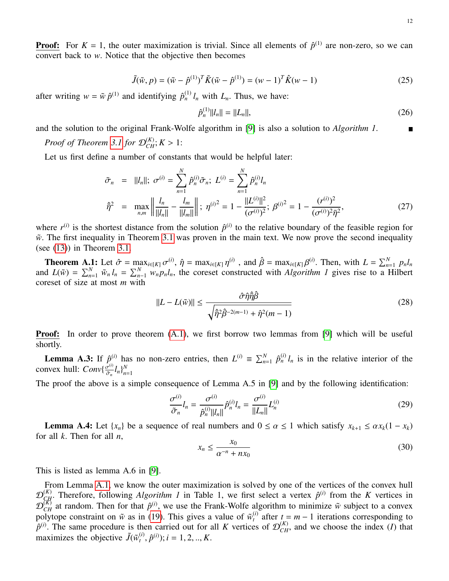**Proof:** For  $K = 1$ , the outer maximization is trivial. Since all elements of  $\hat{p}^{(1)}$  are non-zero, so we can convert back to *w*. Notice that the objective then becomes

$$
\tilde{J}(\tilde{w}, p) = (\tilde{w} - \hat{p}^{(1)})^T \tilde{K}(\tilde{w} - \hat{p}^{(1)}) = (w - 1)^T \hat{K}(w - 1)
$$
\n(25)

after writing  $w = \tilde{w} \hat{p}^{(1)}$  and identifying  $\hat{p}^{(1)}_n l_n$  with  $L_n$ . Thus, we have:

$$
\hat{p}_n^{(1)}||l_n|| = ||L_n||,\tag{26}
$$

and the solution to the original Frank-Wolfe algorithm in [\[9\]](#page-14-6) is also a solution to *Algorithm 1*.

*Proof of Theorem [3.1](#page-4-2) for*  $\mathcal{D}_{CH}^{(K)}$ ;  $K > 1$ :

Let us first define a number of constants that would be helpful later:

$$
\tilde{\sigma}_n = ||l_n||; \ \sigma^{(i)} = \sum_{n=1}^N \hat{p}_n^{(i)} \tilde{\sigma}_n; \ L^{(i)} = \sum_{n=1}^N \hat{p}_n^{(i)} l_n
$$
\n
$$
\hat{\eta}^2 = \max_{n,m} \left\| \frac{l_n}{||l_n||} - \frac{l_m}{||l_m||} \right\|; \ \eta^{(i)} = 1 - \frac{||L^{(i)}||^2}{(\sigma^{(i)})^2}; \ \beta^{(i)} = 1 - \frac{(r^{(i)})^2}{(\sigma^{(i)})^2 \bar{\eta}^2},
$$
\n(27)

where  $r^{(i)}$  is the shortest distance from the solution  $\hat{p}^{(i)}$  to the relative boundary of the feasible region for  $\tilde{w}$ . The first inequality in Theorem [3.1](#page-4-2) was proven in the main text. We now prove the second inequality (see [\(13\)](#page-4-4)) in Theorem [3.1.](#page-4-2)

<span id="page-11-0"></span>**Theorem A.1:** Let  $\hat{\sigma} = \max_{i \in [K]} \sigma^{(i)}$ ,  $\hat{\eta} = \max_{i \in [K]} \eta^{(i)}$ , and  $\hat{\beta} = \max_{i \in [K]} \beta^{(i)}$ . Then, with  $L = \sum_{n=1}^{N} p_n l_n$ <br>d  $I(\tilde{w}) = \sum_{n=1}^{N} p_n l_n$   $N = \sum_{n=1}^{N} p_n l_n$  the coreset constructed with *Algorithm 1* give and  $L(\tilde{w}) = \sum_{n=1}^{N} \tilde{w}_n l_n = \sum_{n=1}^{N} w_n p_n l_n$ , the coreset constructed with *Algorithm 1* gives rise to a Hilbert coreset of size at most *m* with

$$
||L - L(\tilde{w})|| \le \frac{\hat{\sigma}\hat{\eta}\hat{\eta}\hat{\beta}}{\sqrt{\hat{\eta}^2\hat{\beta}^{-2(m-1)} + \hat{\eta}^2(m-1)}}
$$
(28)

**Proof:** In order to prove theorem  $(A.1)$ , we first borrow two lemmas from [\[9\]](#page-14-6) which will be useful shortly.

<span id="page-11-2"></span>**Lemma A.3:** If  $\hat{p}_{n}^{(i)}$  has no non-zero entries, then  $L^{(i)} \equiv \sum_{n=1}^{N} \hat{p}_{n}^{(i)} l_n$  is in the relative interior of the convex hull:  $Conv\{\frac{\sigma^{(i)}}{\tilde{\sigma}_i}\}$  $\frac{\sigma^{(i)}}{\tilde{\sigma}_n} l_n \}_{n=1}^N$ *n*=1

The proof the above is a simple consequence of Lemma A.5 in [\[9\]](#page-14-6) and by the following identification:

$$
\frac{\sigma^{(i)}}{\tilde{\sigma}_n} l_n = \frac{\sigma^{(i)}}{\hat{p}_n^{(i)} ||l_n||} \hat{p}_n^{(i)} l_n = \frac{\sigma^{(i)}}{||L_n||} L_n^{(i)}
$$
\n(29)

<span id="page-11-1"></span>**Lemma A.4:** Let  $\{x_n\}$  be a sequence of real numbers and  $0 \le \alpha \le 1$  which satisfy  $x_{k+1} \le \alpha x_k(1 - x_k)$ for all *k*. Then for all *n*,

$$
x_n \le \frac{x_0}{\alpha^{-n} + nx_0} \tag{30}
$$

This is listed as lemma A.6 in [\[9\]](#page-14-6).

From Lemma [A.1,](#page-10-0) we know the outer maximization is solved by one of the vertices of the convex hull  $\mathcal{D}_{CH}^{(K)}$ . Therefore, following *Algorithm 1* in Table 1, we first select a vertex  $\hat{p}^{(i)}$  from the *K* vertices in  $\mathcal{D}_{CH}^{(K)}$  at random. Then for that  $\hat{p}^{(i)}$ , we use the Frank-Wolfe algorithm to minimize  $\tilde{w}$  subject to a convex polytope constraint on  $\tilde{w}$  as in [\(19\)](#page-5-2). This gives a value of  $\tilde{w}^{(i)}_t$  $t_t^{(i)}$  after  $t = m - 1$  iterations corresponding to  $\hat{p}^{(i)}$ . The same procedure is then carried out for all *K* vertices of  $\mathcal{D}_{CH}^{(K)}$ , and we choose the index (*I*) that maximizes the objective  $\tilde{J}(\tilde{w}_t^{(i)})$  $(t_i^{(i)}, \hat{p}^{(i)})$ ;  $i = 1, 2, ..., K$ .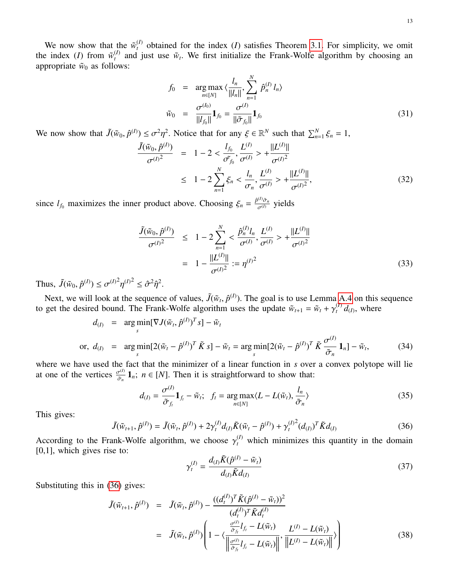$$
f_0 = \arg_{n \in [N]} \max \left\langle \frac{l_n}{||l_n||}, \sum_{n=1}^N \hat{p}_n^{(I)} l_n \right\rangle
$$
  

$$
\tilde{w}_0 = \frac{\sigma^{(I_0)}}{||l_{f_0}||} \mathbf{1}_{f_0} = \frac{\sigma^{(I)}}{||\tilde{\sigma}_{f_0}||} \mathbf{1}_{f_0}
$$
 (31)

We now show that  $\tilde{J}(\tilde{w}_0, \hat{p}^{(l)}) \leq \sigma^2$  $\frac{1}{\sqrt{2}}$ <sup>2</sup>. Notice that for any  $\xi \in \mathbb{R}^N$  such that  $\sum_{n=1}^N \xi_n = 1$ ,

$$
\frac{\tilde{J}(\tilde{w}_0, \hat{p}^{(I)})}{\sigma^{(I)^2}} = 1 - 2 < \frac{l_{f_0}}{\sigma_{f_0}^2}, \frac{L^{(I)}}{\sigma^{(I)}} > + \frac{\|L^{(I)}\|}{\sigma^{(I)^2}} \\
\leq 1 - 2 \sum_{n=1}^N \xi_n < \frac{l_n}{\sigma_n}, \frac{L^{(I)}}{\sigma^{(I)}} > + \frac{\|L^{(I)}\|}{\sigma^{(I)^2}},\n\tag{32}
$$

since  $l_{f_0}$  maximizes the inner product above. Choosing  $\xi_n = \frac{\hat{p}^{(l)}\tilde{\sigma}_n}{\sigma^{(l)}}$  yields

$$
\frac{\tilde{J}(\tilde{w}_0, \hat{p}^{(I)})}{\sigma^{(I)^2}} \le 1 - 2 \sum_{n=1}^N < \frac{\hat{p}_n^{(I)} l_n}{\sigma^{(I)}}, \frac{L^{(I)}}{\sigma^{(I)}} > + \frac{||L^{(I)}||}{\sigma^{(I)^2}}
$$
\n
$$
= 1 - \frac{||L^{(I)}||}{\sigma^{(I)^2}} := \eta^{(I)^2}
$$
\n(33)

Thus,  $\tilde{J}(\tilde{w}_0, \hat{p}^{(I)}) \leq \sigma^{(I)^2} \eta^{(I)^2} \leq \hat{\sigma}^2 \hat{\eta}^2$ . η

Next, we will look at the sequence of values,  $\tilde{J}(\tilde{w}_t, \hat{p}^{(I)})$ . The goal is to use Lemma [A.4](#page-11-1) on this sequence , *p*ˆ to get the desired bound. The Frank-Wolfe algorithm uses the update  $\tilde{w}_{t+1} = \tilde{w}_t + \gamma_t^{(I)} d_{(I)}$ , where

$$
d_{(I)} = \underset{s}{\arg\min} [\nabla J(\tilde{w}_t, \hat{p}^{(I)})^T s] - \tilde{w}_t
$$
  
or, 
$$
d_{(I)} = \underset{s}{\arg\min} [2(\tilde{w}_t - \hat{p}^{(I)})^T \tilde{K} s] - \tilde{w}_t = \underset{s}{\arg\min} [2(\tilde{w}_t - \hat{p}^{(I)})^T \tilde{K} \frac{\sigma^{(I)}}{\tilde{\sigma}_n} \mathbf{1}_n] - \tilde{w}_t,
$$
(34)

where we have used the fact that the minimizer of a linear function in *s* over a convex polytope will lie at one of the vertices  $\frac{\sigma^{(l)}}{\tilde{\sigma}_n}$  $\sigma_{\overline{\sigma}_n}^{\overline{U}}$  **1**<sub>*n*</sub>; *n*  $\in$  [*N*]. Then it is straightforward to show that:

$$
d_{(I)} = \frac{\sigma^{(I)}}{\tilde{\sigma}_{f_i}} \mathbf{1}_{f_i} - \tilde{w}_i; \quad f_t = \underset{n \in [N]}{\arg \max} \langle L - L(\tilde{w}_t), \frac{l_n}{\tilde{\sigma}_n} \rangle \tag{35}
$$

This gives:

<span id="page-12-0"></span>
$$
\tilde{J}(\tilde{w}_{t+1}, \hat{p}^{(I)}) = \tilde{J}(\tilde{w}_t, \hat{p}^{(I)}) + 2\gamma_t^{(I)}d_{(I)}\tilde{K}(\tilde{w}_t - \hat{p}^{(I)}) + \gamma_t^{(I)^2}(d_{(I)})^T \tilde{K} d_{(I)}
$$
(36)

According to the Frank-Wolfe algorithm, we choose  $\gamma_t^{(I)}$  which minimizes this quantity in the domain  $[0, 1]$  which gives rise to: [0,1], which gives rise to:

$$
\gamma_t^{(I)} = \frac{d_{(I)}\tilde{K}(\hat{p}^{(I)} - \tilde{w}_t)}{d_{(I)}\tilde{K}d_{(I)}}
$$
(37)

Substituting this in [\(36\)](#page-12-0) gives:

$$
\tilde{J}(\tilde{w}_{t+1}, \hat{p}^{(I)}) = \tilde{J}(\tilde{w}_t, \hat{p}^{(I)}) - \frac{((d_t^{(I)})^T \tilde{K}(\hat{p}^{(I)} - \tilde{w}_t))^2}{(d_t^{(I)})^T \tilde{K}d_t^{(I)}} \n= \tilde{J}(\tilde{w}_t, \hat{p}^{(I)}) \left( 1 - \langle \frac{\frac{\sigma^{(I)}}{\tilde{\sigma}_{f_i}} l_{f_i} - L(\tilde{w}_t)}{\left\| \frac{\sigma^{(I)}}{\tilde{\sigma}_{f_i}} l_{f_i} - L(\tilde{w}_t) \right\|}, \frac{L^{(I)} - L(\tilde{w}_t)}{\left\| L^{(I)} - L(\tilde{w}_t) \right\|} \rangle \right)
$$
\n(38)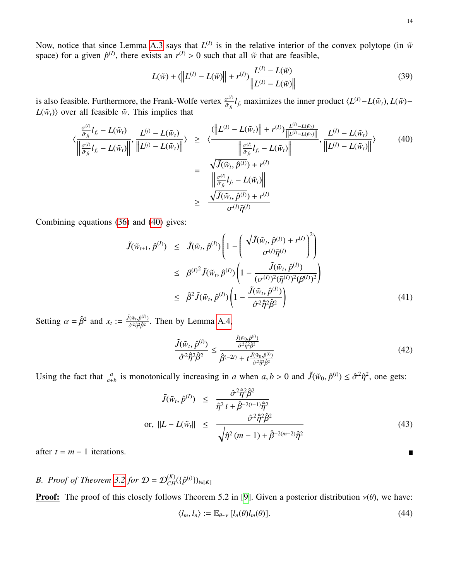14

 $\blacksquare$ 

Now, notice that since Lemma [A.3](#page-11-2) says that  $L^{(I)}$  is in the relative interior of the convex polytope (in  $\tilde{w}$ space) for a given  $\hat{p}^{(I)}$ , there exists an  $r^{(I)} > 0$  such that all  $\tilde{w}$  that are feasible,

$$
L(\tilde{w}) + (||L^{(I)} - L(\tilde{w})|| + r^{(I)}) \frac{L^{(I)} - L(\tilde{w})}{||L^{(I)} - L(\tilde{w})||}
$$
\n(39)

is also feasible. Furthermore, the Frank-Wolfe vertex  $\frac{\sigma^{(l)}}{\sigma_f}$  $\frac{\sigma^{(t)}}{\tilde{\sigma}_{f_t}} l_{f_t}$  maximizes the inner product  $\langle L^{(I)} - L(\tilde{w}_t), L(\tilde{w}) - L(\tilde{w}_t) \rangle$  $L(\tilde{w}_t)$  over all feasible  $\tilde{w}$ . This implies that

<span id="page-13-0"></span>
$$
\langle \frac{\frac{\sigma^{(i)}}{\tilde{\sigma}_{f_i}} l_{f_i} - L(\tilde{w}_t)}{\left\| \frac{\sigma^{(i)}}{\tilde{\sigma}_{f_i}} l_{f_i} - L(\tilde{w}_t) \right\|}, \frac{L^{(i)} - L(\tilde{w}_t)}{\left\| L^{(i)} - L(\tilde{w}_t) \right\|} \rangle \geq \langle \frac{(\left\| L^{(i)} - L(\tilde{w}_t) \right\| + r^{(i)}) \frac{L^{(i)} - L(\tilde{w}_t)}{\left\| \frac{\sigma^{(i)}}{\tilde{\sigma}_{f_i}} l_{f_i} - L(\tilde{w}_t) \right\|}, \frac{L^{(i)} - L(\tilde{w}_t)}{\left\| L^{(i)} - L(\tilde{w}_t) \right\|} \rangle \rangle
$$
\n
$$
= \frac{\sqrt{\tilde{J}(\tilde{w}_t, \hat{p}^{(i)})} + r^{(i)}}{\left\| \frac{\sigma^{(i)}}{\tilde{\sigma}_{f_i}} l_{f_i} - L(\tilde{w}_t) \right\|} \rangle}
$$
\n
$$
\geq \frac{\sqrt{\tilde{J}(\tilde{w}_t, \hat{p}^{(i)})} + r^{(i)}}{\sigma^{(i)} \bar{\eta}^{(i)}}
$$
\n
$$
\langle \frac{\sqrt{\tilde{J}(\tilde{w}_t, \hat{p}^{(i)})} + r^{(i)}}{\sigma^{(i)} \bar{\eta}^{(i)}}
$$
\n
$$
\langle \frac{\sqrt{\tilde{J}(\tilde{w}_t, \hat{p}^{(i)})} + r^{(i)}}{\sigma^{(i)} \bar{\eta}^{(i)}}
$$
\n
$$
\langle \frac{\sqrt{\tilde{J}(\tilde{w}_t, \hat{p}^{(i)})} + r^{(i)}}{\sigma^{(i)} \bar{\eta}^{(i)}}
$$
\n
$$
\langle \frac{\sqrt{\tilde{J}(\tilde{w}_t, \hat{p}^{(i)})} + r^{(i)}}{\sigma^{(i)} \bar{\eta}^{(i)}}
$$
\n
$$
\langle \frac{\sqrt{\tilde{J}(\tilde{w}_t, \hat{p}^{(i)})} + r^{(i)}}{\sigma^{(i)} \bar{\eta}^{(i)}}
$$
\n
$$
\langle \frac{\sqrt{\tilde{J}(\tilde{w}_t, \hat{p}^{(i)})} + r^{(i)}}{\sigma^{
$$

Combining equations [\(36\)](#page-12-0) and [\(40\)](#page-13-0) gives:

$$
\tilde{J}(\tilde{w}_{t+1}, \hat{p}^{(I)}) \leq \tilde{J}(\tilde{w}_t, \hat{p}^{(I)}) \left( 1 - \left( \frac{\sqrt{\tilde{J}(\tilde{w}_t, \hat{p}^{(I)}) + r^{(I)}}}{\sigma^{(I)} \bar{\eta}^{(I)}} \right)^2 \right)
$$
\n
$$
\leq \beta^{(I)^2} \tilde{J}(\tilde{w}_t, \hat{p}^{(I)}) \left( 1 - \frac{\tilde{J}(\tilde{w}_t, \hat{p}^{(I)})}{(\sigma^{(I)})^2 (\bar{\eta}^{(I)})^2 (\beta^{(I)})^2} \right)
$$
\n
$$
\leq \hat{\beta}^2 \tilde{J}(\tilde{w}_t, \hat{p}^{(I)}) \left( 1 - \frac{\tilde{J}(\tilde{w}_t, \hat{p}^{(I)})}{\hat{\sigma}^2 \hat{\eta}^2 \hat{\beta}^2} \right)
$$
\n(41)

Setting  $\alpha = \hat{\beta}^2$  and  $x_t := \frac{\tilde{J}(\tilde{w}_t, \hat{p}^{(1)})}{\hat{\sigma}^2 \hat{\eta}^2 \hat{\beta}^2}$  $\frac{(w_t, p^{\alpha})}{(\hat{\sigma}^2 \hat{\eta}^2 \hat{\beta}^2)}$ . Then by Lemma [A.4,](#page-11-1)

$$
\frac{\tilde{J}(\tilde{w}_t, \hat{p}^{(i)})}{\hat{\sigma}^2 \hat{\eta}^2 \hat{\beta}^2} \le \frac{\frac{\tilde{J}(\tilde{w}_0, \hat{p}^{(i)})}{\hat{\sigma}^2 \hat{\eta}^2 \hat{\beta}^2}}{\hat{\beta}^{(-2t)} + t \frac{\tilde{J}(\tilde{w}_0, \hat{p}^{(i)})}{\hat{\sigma}^2 \hat{\eta}^2 \hat{\beta}^2}}
$$
(42)

Using the fact that  $\frac{a}{a+b}$  is monotonically increasing in *a* when  $a, b > 0$  and  $\tilde{J}(\tilde{w}_0, \hat{p}^{(i)}) \leq \hat{\sigma}^2 \hat{\eta}^2$ , one gets:

$$
\tilde{J}(\tilde{w}_t, \hat{p}^{(I)}) \leq \frac{\hat{\sigma}^2 \hat{\tilde{\eta}}^2 \hat{\beta}^2}{\hat{\eta}^2 t + \hat{\beta}^{-2(t-1)} \hat{\tilde{\eta}}^2}
$$
\n
$$
\text{or, } ||L - L(\tilde{w}_t|| \leq \frac{\hat{\sigma}^2 \hat{\tilde{\eta}}^2 \hat{\beta}^2}{\sqrt{\hat{\eta}^2 (m-1) + \hat{\beta}^{-2(m-2)} \hat{\tilde{\eta}}^2}}
$$
\n
$$
(43)
$$

after  $t = m - 1$  iterations.

*B. Proof of Theorem* [3.2](#page-6-0) *for*  $\mathcal{D} = \mathcal{D}_{CH}^{(K)}({\hat{p}}^{(i)})_{i \in [K]}$ 

**Proof:** The proof of this closely follows Theorem 5.2 in [\[9\]](#page-14-6). Given a posterior distribution  $v(\theta)$ , we have:

$$
\langle l_m, l_n \rangle := \mathbb{E}_{\theta \sim \nu} \left[ l_n(\theta) l_m(\theta) \right]. \tag{44}
$$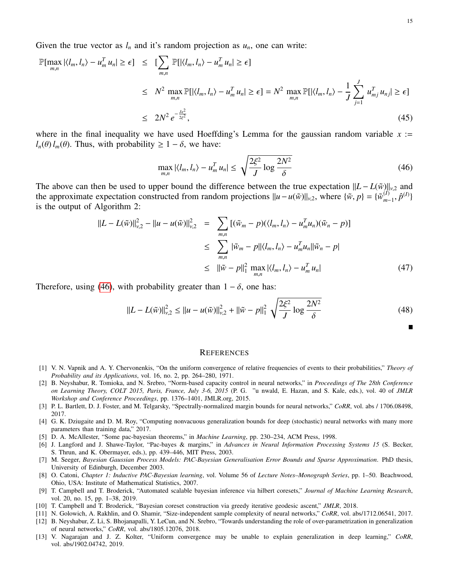Given the true vector as  $l_n$  and it's random projection as  $u_n$ , one can write:

$$
\mathbb{P}[\max_{m,n} |\langle l_m, l_n \rangle - u_m^T u_n| \ge \epsilon] \le [\sum_{m,n} \mathbb{P}[|\langle l_m, l_n \rangle - u_m^T u_n| \ge \epsilon] \le N^2 \max_{m,n} \mathbb{P}[|\langle l_m, l_n \rangle - u_m^T u_n| \ge \epsilon] = N^2 \max_{m,n} \mathbb{P}[|\langle l_m, l_n \rangle - \frac{1}{J} \sum_{j=1}^J u_{mj}^T u_{nj}| \ge \epsilon] \le 2N^2 e^{-\frac{J\epsilon^2}{2\xi^2}},
$$
\n(45)

where in the final inequality we have used Hoeffding's Lemma for the gaussian random variable  $x :=$  $l_n(\theta) l_m(\theta)$ . Thus, with probability  $\geq 1 - \delta$ , we have:

<span id="page-14-11"></span>
$$
\max_{m,n} |\langle l_m, l_n \rangle - u_m^T u_n| \le \sqrt{\frac{2\xi^2}{J} \log \frac{2N^2}{\delta}} \tag{46}
$$

The above can then be used to upper bound the difference between the true expectation  $||L - L(\tilde{w})||_{v,2}$  and the approximate expectation constructed from random projections  $||w - u(\tilde{w})||_{v}$  where  $|\tilde{w} - v(\tilde{w})| \ge \tilde{w}(0$ the approximate expectation constructed from random projections  $||u - u(\tilde{w})||_{v,2}$ , where  $\{\tilde{w}, p\} = \{\tilde{w}_{m}^{(I)}\}$  $\hat{p}^{(I)}$ <sub>*m*−1</sub>,  $\hat{p}^{(I)}$ } is the output of Algorithm 2:

$$
||L - L(\tilde{w})||_{\nu,2}^{2} - ||u - u(\tilde{w})||_{\nu,2}^{2} = \sum_{m,n} [(\tilde{w}_{m} - p)(\langle l_{m}, l_{n} \rangle - u_{m}^{T}u_{n})(\tilde{w}_{n} - p)]
$$
  
\n
$$
\leq \sum_{m,n} |\tilde{w}_{m} - p||\langle l_{m}, l_{n} \rangle - u_{m}^{T}u_{n}||\tilde{w}_{n} - p|
$$
  
\n
$$
\leq ||\tilde{w} - p||_{1}^{2} \max_{m,n} |\langle l_{m}, l_{n} \rangle - u_{m}^{T}u_{n}|
$$
\n(47)

Therefore, using [\(46\)](#page-14-11), with probability greater than  $1 - \delta$ , one has:

$$
||L - L(\tilde{w})||_{\nu,2}^{2} \le ||u - u(\tilde{w})||_{\nu,2}^{2} + ||\tilde{w} - p||_{1}^{2} \sqrt{\frac{2\xi^{2}}{J} \log \frac{2N^{2}}{\delta}}
$$
(48)

## **REFERENCES**

- <span id="page-14-0"></span>[1] V. N. Vapnik and A. Y. Chervonenkis, "On the uniform convergence of relative frequencies of events to their probabilities," *Theory of Probability and its Applications*, vol. 16, no. 2, pp. 264–280, 1971.
- <span id="page-14-1"></span>[2] B. Neyshabur, R. Tomioka, and N. Srebro, "Norm-based capacity control in neural networks," in *Proceedings of The 28th Conference on Learning Theory, COLT 2015, Paris, France, July 3-6, 2015* (P. G. "u nwald, E. Hazan, and S. Kale, eds.), vol. 40 of *JMLR Workshop and Conference Proceedings*, pp. 1376–1401, JMLR.org, 2015.
- <span id="page-14-2"></span>[3] P. L. Bartlett, D. J. Foster, and M. Telgarsky, "Spectrally-normalized margin bounds for neural networks," *CoRR*, vol. abs / 1706.08498, 2017.
- <span id="page-14-3"></span>[4] G. K. Dziugaite and D. M. Roy, "Computing nonvacuous generalization bounds for deep (stochastic) neural networks with many more parameters than training data," 2017.
- <span id="page-14-4"></span>[5] D. A. McAllester, "Some pac-bayesian theorems," in *Machine Learning*, pp. 230–234, ACM Press, 1998.
- [6] J. Langford and J. Shawe-Taylor, "Pac-bayes & margins," in *Advances in Neural Information Processing Systems 15* (S. Becker, S. Thrun, and K. Obermayer, eds.), pp. 439–446, MIT Press, 2003.
- [7] M. Seeger, *Bayesian Gaussian Process Models: PAC-Bayesian Generalisation Error Bounds and Sparse Approximation*. PhD thesis, University of Edinburgh, December 2003.
- <span id="page-14-5"></span>[8] O. Catoni, *Chapter 1: Inductive PAC-Bayesian learning*, vol. Volume 56 of *Lecture Notes–Monograph Series*, pp. 1–50. Beachwood, Ohio, USA: Institute of Mathematical Statistics, 2007.
- <span id="page-14-6"></span>[9] T. Campbell and T. Broderick, "Automated scalable bayesian inference via hilbert coresets," *Journal of Machine Learning Research*, vol. 20, no. 15, pp. 1–38, 2019.
- <span id="page-14-7"></span>[10] T. Campbell and T. Broderick, "Bayesian coreset construction via greedy iterative geodesic ascent," *JMLR*, 2018.
- <span id="page-14-9"></span><span id="page-14-8"></span>[11] N. Golowich, A. Rakhlin, and O. Shamir, "Size-independent sample complexity of neural networks," *CoRR*, vol. abs/1712.06541, 2017. [12] B. Neyshabur, Z. Li, S. Bhojanapalli, Y. LeCun, and N. Srebro, "Towards understanding the role of over-parametrization in generalization of neural networks," *CoRR*, vol. abs/1805.12076, 2018.
- <span id="page-14-10"></span>[13] V. Nagarajan and J. Z. Kolter, "Uniform convergence may be unable to explain generalization in deep learning," *CoRR*, vol. abs/1902.04742, 2019.